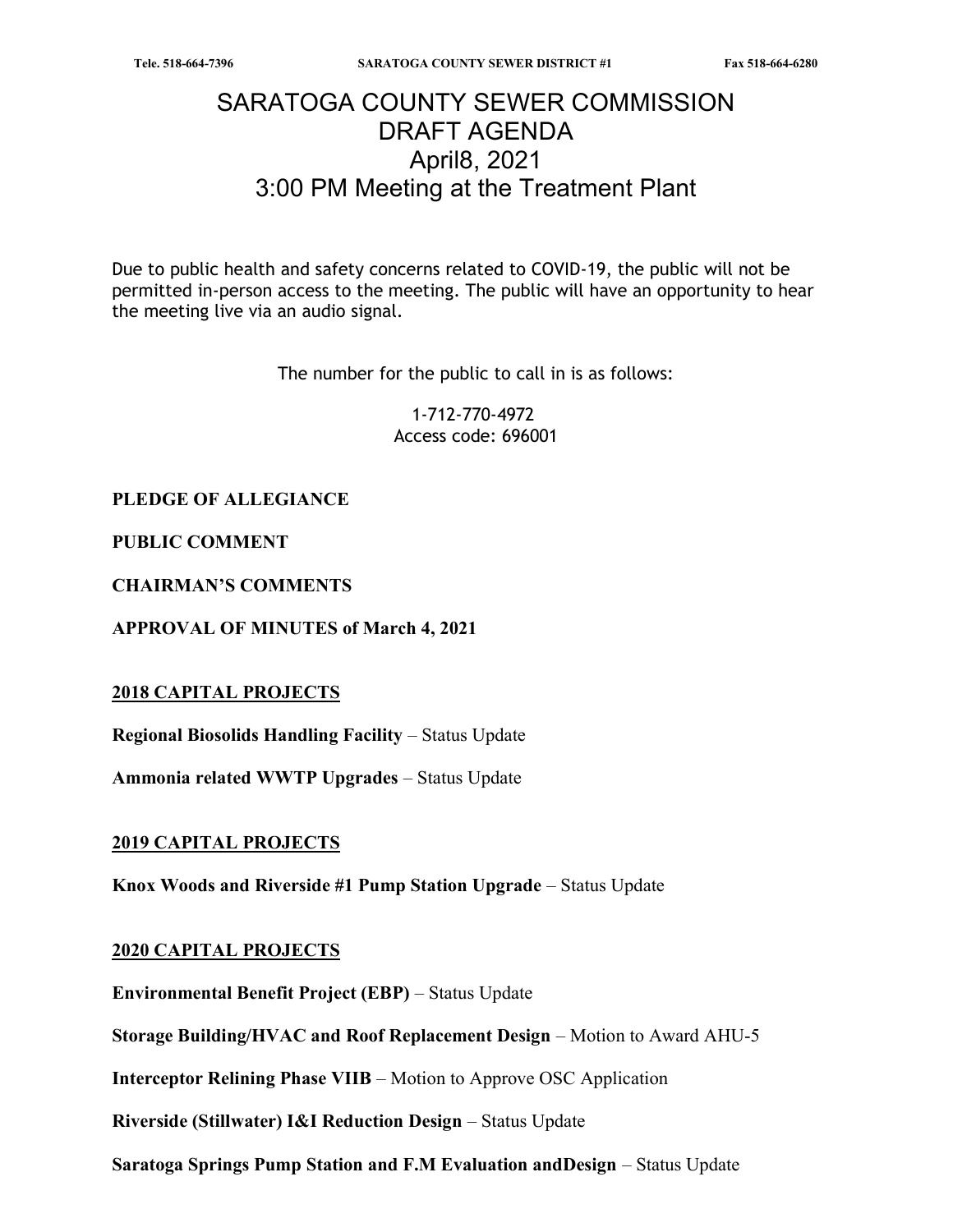# SARATOGA COUNTY SEWER COMMISSION DRAFT AGENDA April8, 2021 3:00 PM Meeting at the Treatment Plant

Due to public health and safety concerns related to COVID-19, the public will not be permitted in-person access to the meeting. The public will have an opportunity to hear the meeting live via an audio signal.

The number for the public to call in is as follows:

1-712-770-4972 Access code: 696001

## PLEDGE OF ALLEGIANCE

PUBLIC COMMENT

CHAIRMAN'S COMMENTS

APPROVAL OF MINUTES of March 4, 2021

#### 2018 CAPITAL PROJECTS

Regional Biosolids Handling Facility – Status Update

Ammonia related WWTP Upgrades – Status Update

#### 2019 CAPITAL PROJECTS

Knox Woods and Riverside #1 Pump Station Upgrade – Status Update

#### 2020 CAPITAL PROJECTS

Environmental Benefit Project (EBP) – Status Update

Storage Building/HVAC and Roof Replacement Design – Motion to Award AHU-5

Interceptor Relining Phase VIIB – Motion to Approve OSC Application

Riverside (Stillwater) I&I Reduction Design – Status Update

Saratoga Springs Pump Station and F.M Evaluation andDesign – Status Update